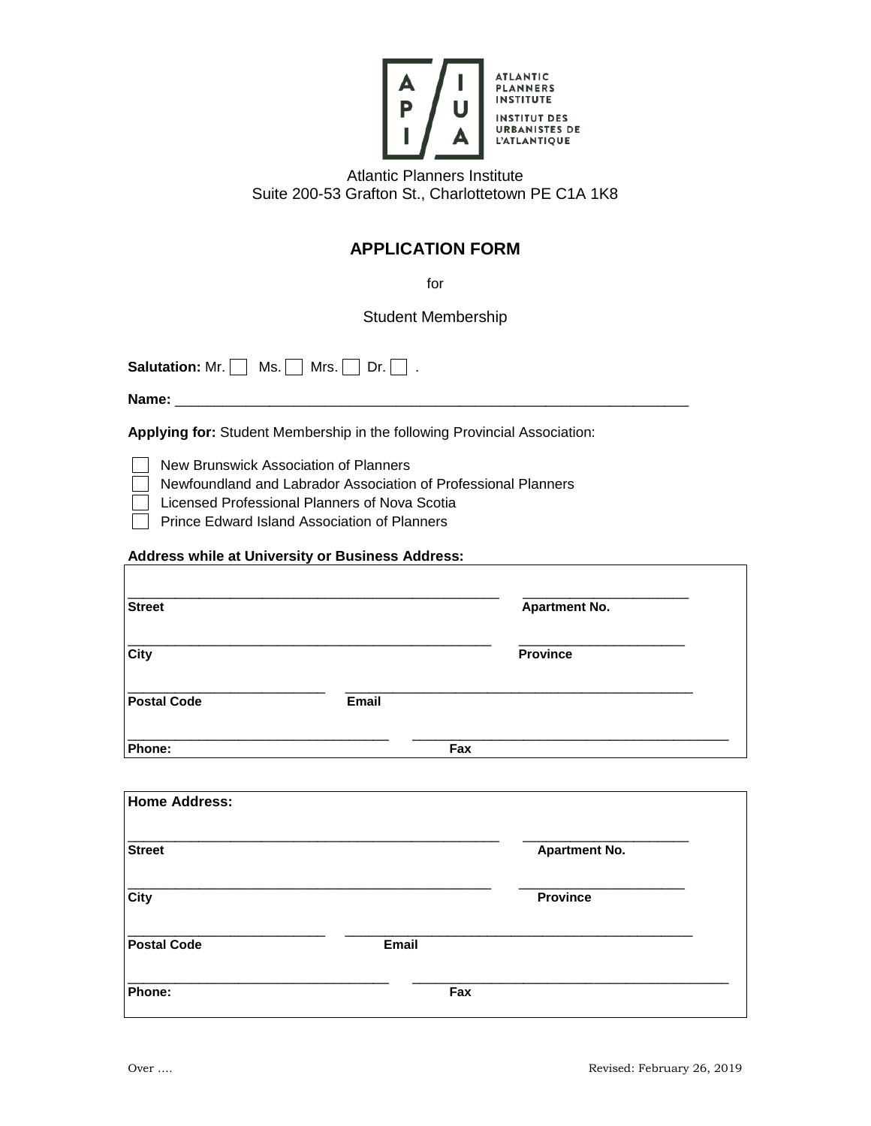

Atlantic Planners Institute Suite 200-53 Grafton St., Charlottetown PE C1A 1K8

## **APPLICATION FORM**

for

Student Membership

**Salutation:** Mr.  $\Box$  Ms.  $\Box$  Mrs.  $\Box$  Dr.  $\Box$  .

**Name:** \_\_\_\_\_\_\_\_\_\_\_\_\_\_\_\_\_\_\_\_\_\_\_\_\_\_\_\_\_\_\_\_\_\_\_\_\_\_\_\_\_\_\_\_\_\_\_\_\_\_\_\_\_\_\_\_\_\_\_\_\_\_\_\_\_

**Applying for:** Student Membership in the following Provincial Association:

New Brunswick Association of Planners

Newfoundland and Labrador Association of Professional Planners

Licensed Professional Planners of Nova Scotia

Prince Edward Island Association of Planners

## **Address while at University or Business Address:**

| <b>Street</b>      |       | <b>Apartment No.</b> |  |
|--------------------|-------|----------------------|--|
| <b>City</b>        |       | <b>Province</b>      |  |
| <b>Postal Code</b> | Email |                      |  |
| Phone:             |       | Fax                  |  |

| <b>Home Address:</b> |       |                      |
|----------------------|-------|----------------------|
| <b>Street</b>        |       | <b>Apartment No.</b> |
| <b>City</b>          |       | <b>Province</b>      |
| <b>Postal Code</b>   | Email |                      |
| Phone:               | Fax   |                      |